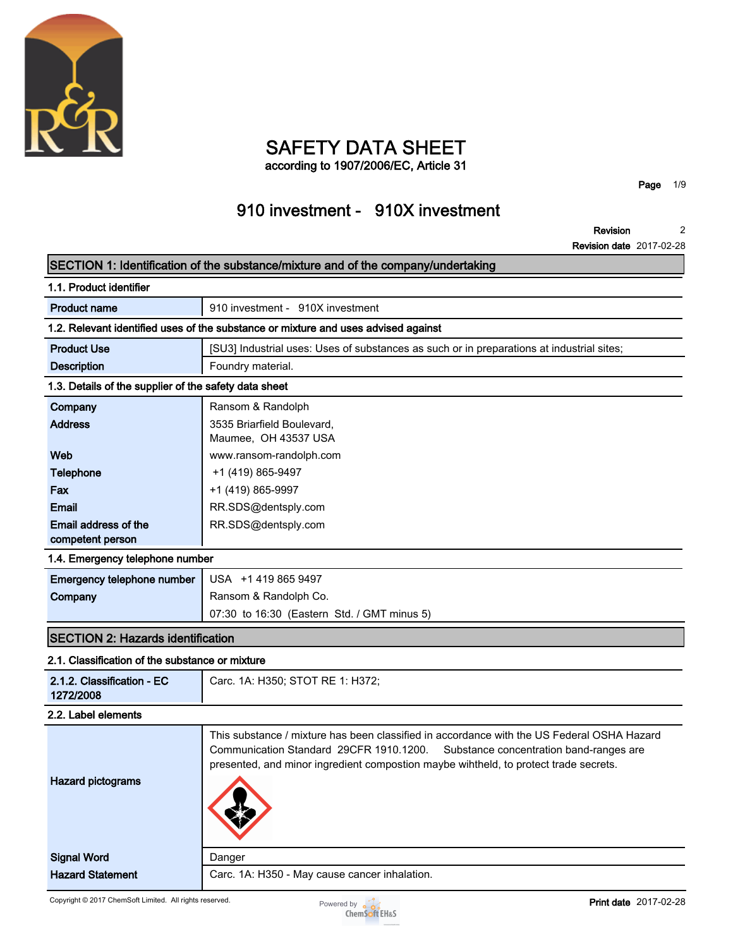

# **SAFETY DATA SHEET**

**according to 1907/2006/EC, Article 31**

**Page 1/9**

## **910 investment - 910X investment**

**Revision 2**

**Revision date 2017-02-28**

|                                                                                    | SECTION 1: Identification of the substance/mixture and of the company/undertaking                                                                                                                                                                                        |  |  |  |
|------------------------------------------------------------------------------------|--------------------------------------------------------------------------------------------------------------------------------------------------------------------------------------------------------------------------------------------------------------------------|--|--|--|
| 1.1. Product identifier                                                            |                                                                                                                                                                                                                                                                          |  |  |  |
| <b>Product name</b>                                                                | 910 investment - 910X investment                                                                                                                                                                                                                                         |  |  |  |
| 1.2. Relevant identified uses of the substance or mixture and uses advised against |                                                                                                                                                                                                                                                                          |  |  |  |
| <b>Product Use</b>                                                                 | [SU3] Industrial uses: Uses of substances as such or in preparations at industrial sites;                                                                                                                                                                                |  |  |  |
| <b>Description</b>                                                                 | Foundry material.                                                                                                                                                                                                                                                        |  |  |  |
| 1.3. Details of the supplier of the safety data sheet                              |                                                                                                                                                                                                                                                                          |  |  |  |
| Company                                                                            | Ransom & Randolph                                                                                                                                                                                                                                                        |  |  |  |
| <b>Address</b>                                                                     | 3535 Briarfield Boulevard,<br>Maumee, OH 43537 USA                                                                                                                                                                                                                       |  |  |  |
| Web                                                                                | www.ransom-randolph.com                                                                                                                                                                                                                                                  |  |  |  |
| <b>Telephone</b>                                                                   | +1 (419) 865-9497                                                                                                                                                                                                                                                        |  |  |  |
| Fax                                                                                | +1 (419) 865-9997                                                                                                                                                                                                                                                        |  |  |  |
| <b>Email</b>                                                                       | RR.SDS@dentsply.com                                                                                                                                                                                                                                                      |  |  |  |
| Email address of the<br>competent person                                           | RR.SDS@dentsply.com                                                                                                                                                                                                                                                      |  |  |  |
| 1.4. Emergency telephone number                                                    |                                                                                                                                                                                                                                                                          |  |  |  |
| Emergency telephone number                                                         | USA +1 419 865 9497                                                                                                                                                                                                                                                      |  |  |  |
| Company                                                                            | Ransom & Randolph Co.                                                                                                                                                                                                                                                    |  |  |  |
|                                                                                    | 07:30 to 16:30 (Eastern Std. / GMT minus 5)                                                                                                                                                                                                                              |  |  |  |
| <b>SECTION 2: Hazards identification</b>                                           |                                                                                                                                                                                                                                                                          |  |  |  |
| 2.1. Classification of the substance or mixture                                    |                                                                                                                                                                                                                                                                          |  |  |  |
| 2.1.2. Classification - EC<br>1272/2008                                            | Carc. 1A: H350; STOT RE 1: H372;                                                                                                                                                                                                                                         |  |  |  |
| 2.2. Label elements                                                                |                                                                                                                                                                                                                                                                          |  |  |  |
| <b>Hazard pictograms</b>                                                           | This substance / mixture has been classified in accordance with the US Federal OSHA Hazard<br>Communication Standard 29CFR 1910.1200.<br>Substance concentration band-ranges are<br>presented, and minor ingredient compostion maybe wihtheld, to protect trade secrets. |  |  |  |
| <b>Signal Word</b>                                                                 | Danger                                                                                                                                                                                                                                                                   |  |  |  |
| <b>Hazard Statement</b>                                                            | Carc. 1A: H350 - May cause cancer inhalation.                                                                                                                                                                                                                            |  |  |  |

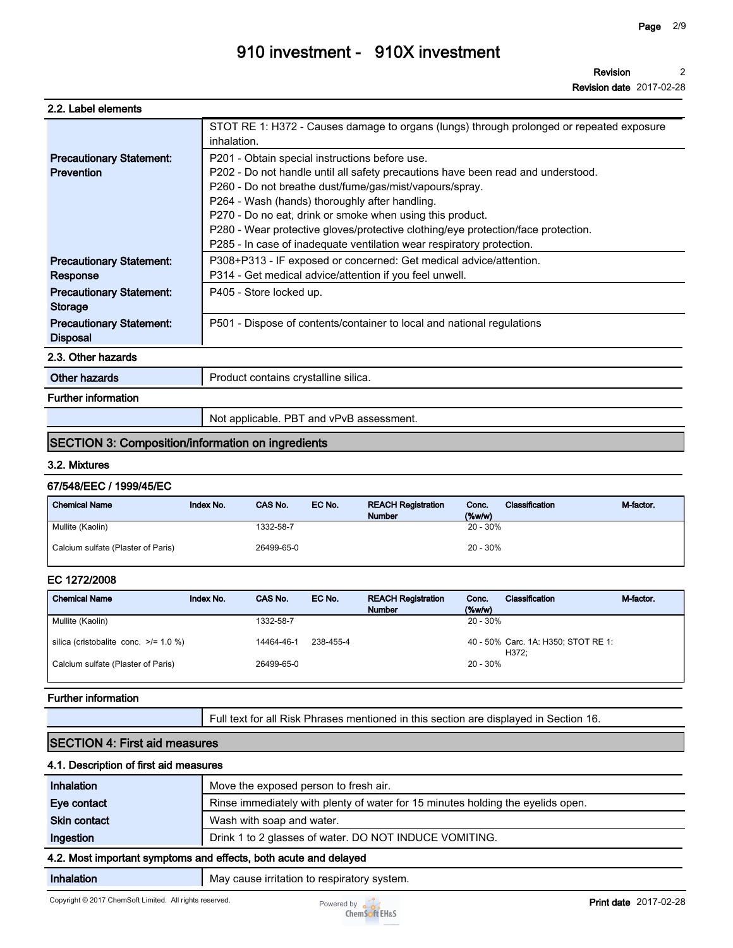**Revision 2**

**Revision date 2017-02-28**

| 2.2. Label elements |  |
|---------------------|--|
|---------------------|--|

|                                 | STOT RE 1: H372 - Causes damage to organs (lungs) through prolonged or repeated exposure |
|---------------------------------|------------------------------------------------------------------------------------------|
|                                 | inhalation.                                                                              |
| <b>Precautionary Statement:</b> | P201 - Obtain special instructions before use.                                           |
| Prevention                      | P202 - Do not handle until all safety precautions have been read and understood.         |
|                                 | P260 - Do not breathe dust/fume/gas/mist/vapours/spray.                                  |
|                                 | P264 - Wash (hands) thoroughly after handling.                                           |
|                                 | P270 - Do no eat, drink or smoke when using this product.                                |
|                                 | P280 - Wear protective gloves/protective clothing/eye protection/face protection.        |
|                                 | P285 - In case of inadequate ventilation wear respiratory protection.                    |
| <b>Precautionary Statement:</b> | P308+P313 - IF exposed or concerned: Get medical advice/attention.                       |
| Response                        | P314 - Get medical advice/attention if you feel unwell.                                  |
| <b>Precautionary Statement:</b> | P405 - Store locked up.                                                                  |
| <b>Storage</b>                  |                                                                                          |
| <b>Precautionary Statement:</b> | P501 - Dispose of contents/container to local and national regulations                   |
| <b>Disposal</b>                 |                                                                                          |
| 2.3. Other hazards              |                                                                                          |
| Other hazards                   | Product contains crystalline silica.                                                     |
| <b>Further information</b>      |                                                                                          |
|                                 | Not applicable. PBT and vPvB assessment.                                                 |

### **SECTION 3: Composition/information on ingredients**

#### **3.2. Mixtures**

#### **67/548/EEC / 1999/45/EC**

| <b>Chemical Name</b>               | Index No. | CAS No.    | EC No. | <b>REACH Registration</b><br><b>Number</b> | Conc.<br>$(\%w/w)$ | Classification | M-factor. |
|------------------------------------|-----------|------------|--------|--------------------------------------------|--------------------|----------------|-----------|
| Mullite (Kaolin)                   |           | 1332-58-7  |        |                                            | $20 - 30%$         |                |           |
| Calcium sulfate (Plaster of Paris) |           | 26499-65-0 |        |                                            | $20 - 30%$         |                |           |

### **EC 1272/2008**

| <b>Chemical Name</b>                       | Index No. | CAS No.    | EC No.    | <b>REACH Registration</b><br><b>Number</b> | Conc.<br>$(\%w/w)$ | Classification                               | M-factor. |
|--------------------------------------------|-----------|------------|-----------|--------------------------------------------|--------------------|----------------------------------------------|-----------|
| Mullite (Kaolin)                           |           | 1332-58-7  |           |                                            | $20 - 30\%$        |                                              |           |
| silica (cristobalite conc. $\ge$ /= 1.0 %) |           | 14464-46-1 | 238-455-4 |                                            |                    | 40 - 50% Carc. 1A: H350; STOT RE 1:<br>H372: |           |
| Calcium sulfate (Plaster of Paris)         |           | 26499-65-0 |           |                                            | $20 - 30\%$        |                                              |           |

#### **Further information**

**Full text for all Risk Phrases mentioned in this section are displayed in Section 16.**

### **SECTION 4: First aid measures**

#### **4.1. Description of first aid measures**

| <b>Inhalation</b>   | Move the exposed person to fresh air.                                           |  |  |  |
|---------------------|---------------------------------------------------------------------------------|--|--|--|
| Eye contact         | Rinse immediately with plenty of water for 15 minutes holding the eyelids open. |  |  |  |
| <b>Skin contact</b> | Wash with soap and water.                                                       |  |  |  |
| Ingestion           | Drink 1 to 2 glasses of water. DO NOT INDUCE VOMITING.                          |  |  |  |
|                     | 4.2. Most important symptoms and effects, both acute and delayed                |  |  |  |
| Inhalation          | May cause irritation to respiratory system.                                     |  |  |  |

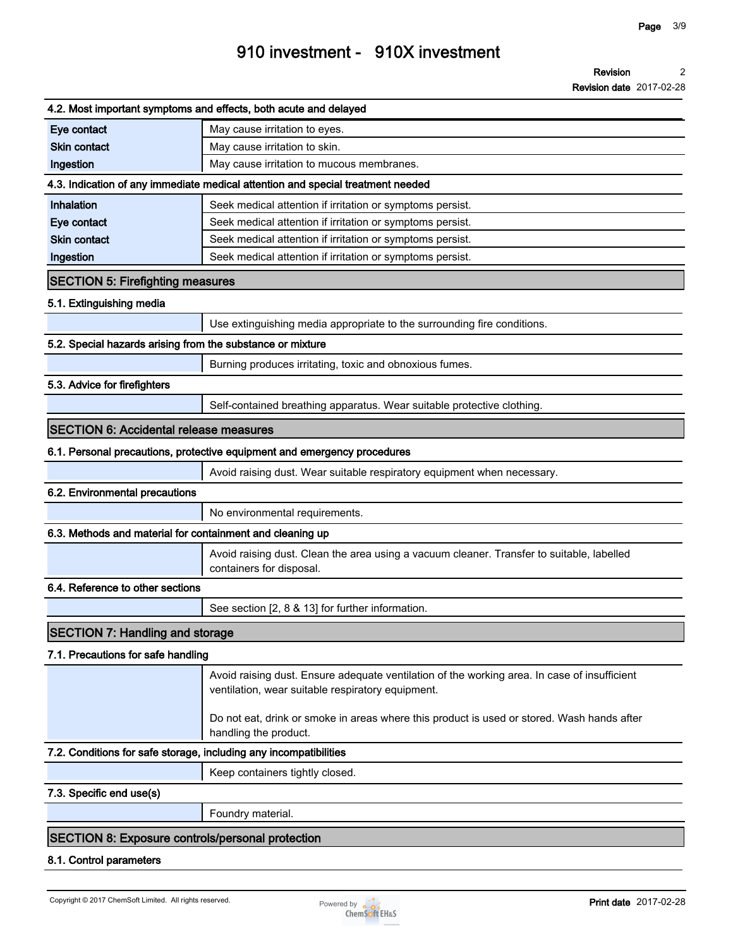**Revision date 2017-02-28**

|                                                                   | 4.2. Most important symptoms and effects, both acute and delayed                                                                                  |
|-------------------------------------------------------------------|---------------------------------------------------------------------------------------------------------------------------------------------------|
| Eye contact                                                       | May cause irritation to eyes.                                                                                                                     |
| <b>Skin contact</b>                                               | May cause irritation to skin.                                                                                                                     |
| Ingestion                                                         | May cause irritation to mucous membranes.                                                                                                         |
|                                                                   | 4.3. Indication of any immediate medical attention and special treatment needed                                                                   |
| Inhalation                                                        | Seek medical attention if irritation or symptoms persist.                                                                                         |
| Eye contact                                                       | Seek medical attention if irritation or symptoms persist.                                                                                         |
| <b>Skin contact</b>                                               | Seek medical attention if irritation or symptoms persist.                                                                                         |
| Ingestion                                                         | Seek medical attention if irritation or symptoms persist.                                                                                         |
| <b>SECTION 5: Firefighting measures</b>                           |                                                                                                                                                   |
| 5.1. Extinguishing media                                          |                                                                                                                                                   |
|                                                                   | Use extinguishing media appropriate to the surrounding fire conditions.                                                                           |
| 5.2. Special hazards arising from the substance or mixture        |                                                                                                                                                   |
|                                                                   | Burning produces irritating, toxic and obnoxious fumes.                                                                                           |
| 5.3. Advice for firefighters                                      |                                                                                                                                                   |
|                                                                   | Self-contained breathing apparatus. Wear suitable protective clothing.                                                                            |
| <b>SECTION 6: Accidental release measures</b>                     |                                                                                                                                                   |
|                                                                   | 6.1. Personal precautions, protective equipment and emergency procedures                                                                          |
|                                                                   | Avoid raising dust. Wear suitable respiratory equipment when necessary.                                                                           |
| 6.2. Environmental precautions                                    |                                                                                                                                                   |
|                                                                   | No environmental requirements.                                                                                                                    |
| 6.3. Methods and material for containment and cleaning up         |                                                                                                                                                   |
|                                                                   | Avoid raising dust. Clean the area using a vacuum cleaner. Transfer to suitable, labelled<br>containers for disposal.                             |
| 6.4. Reference to other sections                                  |                                                                                                                                                   |
|                                                                   | See section [2, 8 & 13] for further information.                                                                                                  |
| <b>SECTION 7: Handling and storage</b>                            |                                                                                                                                                   |
| 7.1. Precautions for safe handling                                |                                                                                                                                                   |
|                                                                   | Avoid raising dust. Ensure adequate ventilation of the working area. In case of insufficient<br>ventilation, wear suitable respiratory equipment. |
|                                                                   | Do not eat, drink or smoke in areas where this product is used or stored. Wash hands after<br>handling the product.                               |
| 7.2. Conditions for safe storage, including any incompatibilities |                                                                                                                                                   |
|                                                                   | Keep containers tightly closed.                                                                                                                   |
| 7.3. Specific end use(s)                                          |                                                                                                                                                   |
|                                                                   | Foundry material.                                                                                                                                 |
| <b>SECTION 8: Exposure controls/personal protection</b>           |                                                                                                                                                   |
| 8.1. Control parameters                                           |                                                                                                                                                   |
|                                                                   |                                                                                                                                                   |

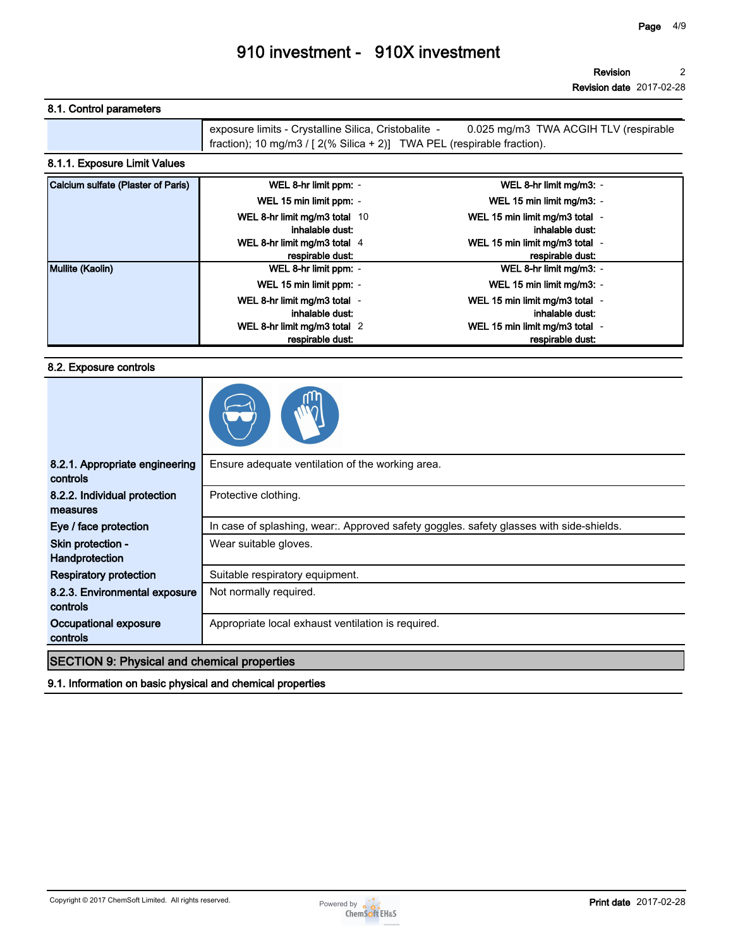**Revision 2**

**Revision date 2017-02-28**

### **8.1. Control parameters**

| exposure limits - Crystalline Silica, Cristobalite -<br>0.025 mg/m3 TWA ACGIH TLV (respirable |
|-----------------------------------------------------------------------------------------------|
| fraction); 10 mg/m3 / $[2(\% Silica + 2)]$ TWA PEL (respirable fraction).                     |

### **8.1.1. Exposure Limit Values**

| Calcium sulfate (Plaster of Paris) | WEL 8-hr limit ppm: -         | WEL 8-hr limit mg/m3: -        |  |
|------------------------------------|-------------------------------|--------------------------------|--|
|                                    | WEL 15 min limit ppm: -       | WEL 15 min limit mg/m3: -      |  |
|                                    | WEL 8-hr limit mg/m3 total 10 | WEL 15 min limit mg/m3 total - |  |
|                                    | inhalable dust:               | inhalable dust:                |  |
|                                    | WEL 8-hr limit mg/m3 total 4  | WEL 15 min limit mg/m3 total - |  |
|                                    | respirable dust:              | respirable dust:               |  |
| Mullite (Kaolin)                   | WEL 8-hr limit ppm: -         | WEL 8-hr limit mg/m3: -        |  |
|                                    | WEL 15 min limit ppm: -       | WEL 15 min limit mg/m3: -      |  |
|                                    | WEL 8-hr limit mg/m3 total -  | WEL 15 min limit mg/m3 total - |  |
|                                    | inhalable dust:               | inhalable dust:                |  |
|                                    | WEL 8-hr limit mg/m3 total 2  | WEL 15 min limit mg/m3 total - |  |
|                                    | respirable dust:              | respirable dust:               |  |

#### **8.2. Exposure controls**

| 8.2.1. Appropriate engineering<br>controls         | Ensure adequate ventilation of the working area.                                        |
|----------------------------------------------------|-----------------------------------------------------------------------------------------|
| 8.2.2. Individual protection<br>measures           | Protective clothing.                                                                    |
| Eye / face protection                              | In case of splashing, wear:. Approved safety goggles. safety glasses with side-shields. |
| Skin protection -<br>Handprotection                | Wear suitable gloves.                                                                   |
| <b>Respiratory protection</b>                      | Suitable respiratory equipment.                                                         |
| 8.2.3. Environmental exposure<br>controls          | Not normally required.                                                                  |
| Occupational exposure<br>controls                  | Appropriate local exhaust ventilation is required.                                      |
| <b>SECTION 9: Physical and chemical properties</b> |                                                                                         |

**9.1. Information on basic physical and chemical properties**

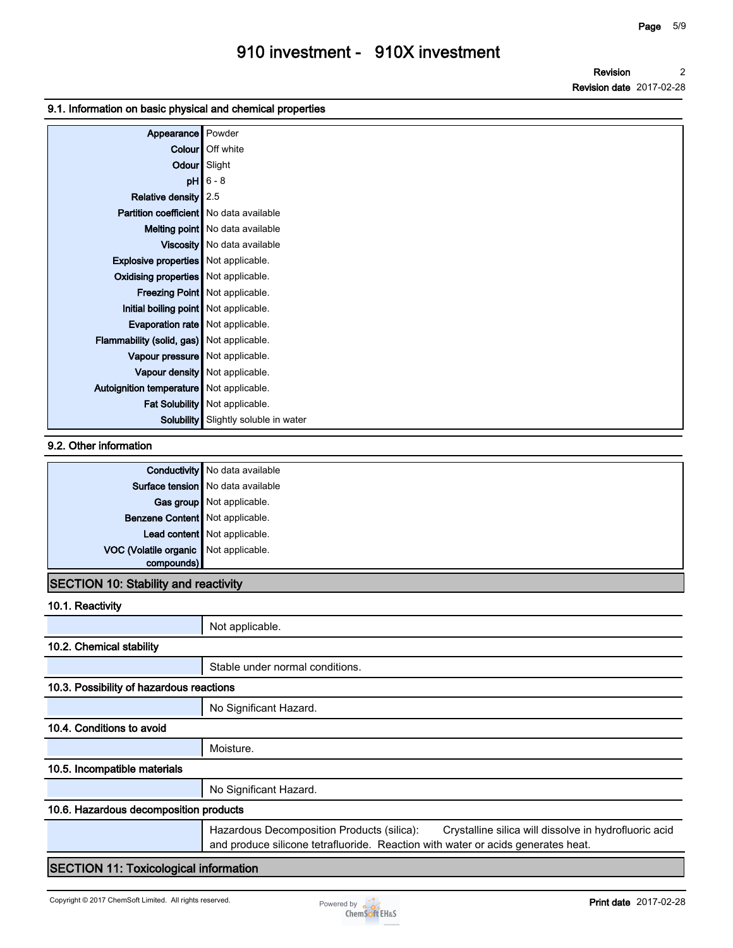**Revision Revision date 2017-02-28 2**

#### **9.1. Information on basic physical and chemical properties**

| Appearance Powder                           |                                             |
|---------------------------------------------|---------------------------------------------|
|                                             | Colour   Off white                          |
| Odour Slight                                |                                             |
|                                             | $pH$ 6 - 8                                  |
| Relative density 2.5                        |                                             |
| Partition coefficient   No data available   |                                             |
|                                             | Melting point   No data available           |
|                                             | Viscosity   No data available               |
| <b>Explosive properties</b> Not applicable. |                                             |
| Oxidising properties   Not applicable.      |                                             |
|                                             | Freezing Point   Not applicable.            |
| Initial boiling point Not applicable.       |                                             |
| Evaporation rate   Not applicable.          |                                             |
| Flammability (solid, gas) Not applicable.   |                                             |
| Vapour pressure   Not applicable.           |                                             |
|                                             | Vapour density   Not applicable.            |
| Autoignition temperature   Not applicable.  |                                             |
|                                             | Fat Solubility   Not applicable.            |
|                                             | <b>Solubility</b> Slightly soluble in water |

#### **9.2. Other information**

|                                       | <b>Conductivity</b> No data available |
|---------------------------------------|---------------------------------------|
|                                       | Surface tension No data available     |
|                                       | Gas group Not applicable.             |
| Benzene Content Not applicable.       |                                       |
|                                       | Lead content Not applicable.          |
| VOC (Volatile organic Not applicable. |                                       |
| compounds)                            |                                       |

### **SECTION 10: Stability and reactivity**

#### **10.1. Reactivity**

|                                              | Not applicable.                                                                                                                                                                         |  |
|----------------------------------------------|-----------------------------------------------------------------------------------------------------------------------------------------------------------------------------------------|--|
| 10.2. Chemical stability                     |                                                                                                                                                                                         |  |
|                                              | Stable under normal conditions.                                                                                                                                                         |  |
| 10.3. Possibility of hazardous reactions     |                                                                                                                                                                                         |  |
|                                              | No Significant Hazard.                                                                                                                                                                  |  |
| 10.4. Conditions to avoid                    |                                                                                                                                                                                         |  |
|                                              | Moisture.                                                                                                                                                                               |  |
| 10.5. Incompatible materials                 |                                                                                                                                                                                         |  |
|                                              | No Significant Hazard.                                                                                                                                                                  |  |
| 10.6. Hazardous decomposition products       |                                                                                                                                                                                         |  |
|                                              | Hazardous Decomposition Products (silica):<br>Crystalline silica will dissolve in hydrofluoric acid<br>and produce silicone tetrafluoride. Reaction with water or acids generates heat. |  |
| <b>SECTION 11: Toxicological information</b> |                                                                                                                                                                                         |  |

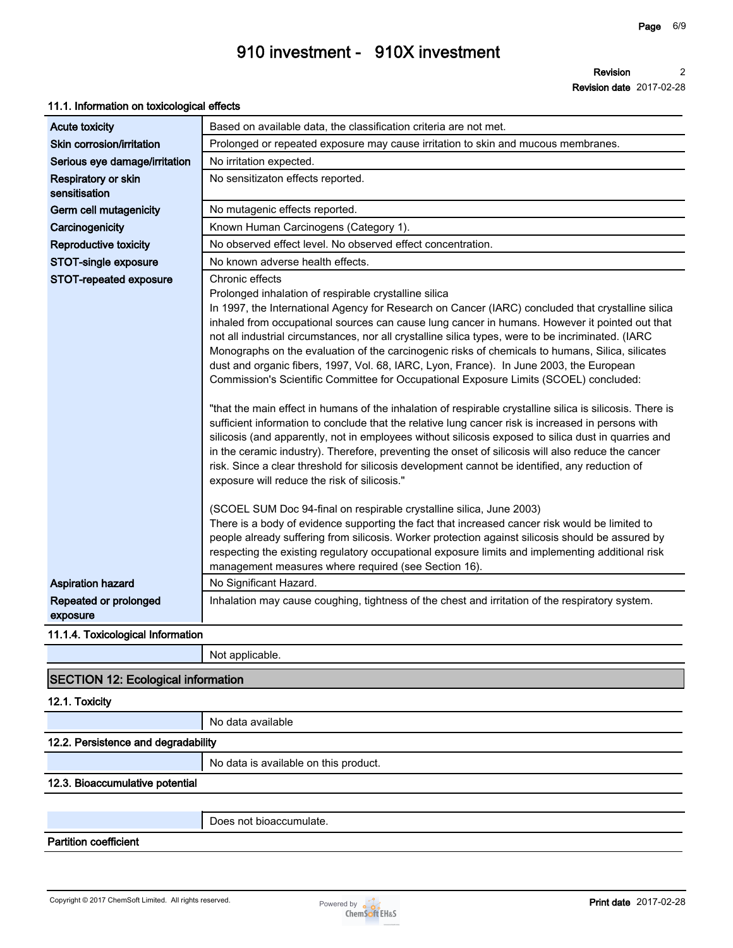**Revision 2**

**Revision date 2017-02-28**

### **11.1. Information on toxicological effects**

| Based on available data, the classification criteria are not met.                                                                                                                                                                                                                                                                                                                                                                                                                                                                                                                                                                                                                                                                                                                                                                                                                                                                                                                                                                                                                                                                                                                                                                                                                                                                                                                                                                                                                                                                                                                                                                                   |
|-----------------------------------------------------------------------------------------------------------------------------------------------------------------------------------------------------------------------------------------------------------------------------------------------------------------------------------------------------------------------------------------------------------------------------------------------------------------------------------------------------------------------------------------------------------------------------------------------------------------------------------------------------------------------------------------------------------------------------------------------------------------------------------------------------------------------------------------------------------------------------------------------------------------------------------------------------------------------------------------------------------------------------------------------------------------------------------------------------------------------------------------------------------------------------------------------------------------------------------------------------------------------------------------------------------------------------------------------------------------------------------------------------------------------------------------------------------------------------------------------------------------------------------------------------------------------------------------------------------------------------------------------------|
| Prolonged or repeated exposure may cause irritation to skin and mucous membranes.                                                                                                                                                                                                                                                                                                                                                                                                                                                                                                                                                                                                                                                                                                                                                                                                                                                                                                                                                                                                                                                                                                                                                                                                                                                                                                                                                                                                                                                                                                                                                                   |
| No irritation expected.                                                                                                                                                                                                                                                                                                                                                                                                                                                                                                                                                                                                                                                                                                                                                                                                                                                                                                                                                                                                                                                                                                                                                                                                                                                                                                                                                                                                                                                                                                                                                                                                                             |
| No sensitizaton effects reported.                                                                                                                                                                                                                                                                                                                                                                                                                                                                                                                                                                                                                                                                                                                                                                                                                                                                                                                                                                                                                                                                                                                                                                                                                                                                                                                                                                                                                                                                                                                                                                                                                   |
| No mutagenic effects reported.                                                                                                                                                                                                                                                                                                                                                                                                                                                                                                                                                                                                                                                                                                                                                                                                                                                                                                                                                                                                                                                                                                                                                                                                                                                                                                                                                                                                                                                                                                                                                                                                                      |
| Known Human Carcinogens (Category 1).                                                                                                                                                                                                                                                                                                                                                                                                                                                                                                                                                                                                                                                                                                                                                                                                                                                                                                                                                                                                                                                                                                                                                                                                                                                                                                                                                                                                                                                                                                                                                                                                               |
| No observed effect level. No observed effect concentration.                                                                                                                                                                                                                                                                                                                                                                                                                                                                                                                                                                                                                                                                                                                                                                                                                                                                                                                                                                                                                                                                                                                                                                                                                                                                                                                                                                                                                                                                                                                                                                                         |
| No known adverse health effects.                                                                                                                                                                                                                                                                                                                                                                                                                                                                                                                                                                                                                                                                                                                                                                                                                                                                                                                                                                                                                                                                                                                                                                                                                                                                                                                                                                                                                                                                                                                                                                                                                    |
| Chronic effects<br>Prolonged inhalation of respirable crystalline silica<br>In 1997, the International Agency for Research on Cancer (IARC) concluded that crystalline silica<br>inhaled from occupational sources can cause lung cancer in humans. However it pointed out that<br>not all industrial circumstances, nor all crystalline silica types, were to be incriminated. (IARC<br>Monographs on the evaluation of the carcinogenic risks of chemicals to humans, Silica, silicates<br>dust and organic fibers, 1997, Vol. 68, IARC, Lyon, France). In June 2003, the European<br>Commission's Scientific Committee for Occupational Exposure Limits (SCOEL) concluded:<br>"that the main effect in humans of the inhalation of respirable crystalline silica is silicosis. There is<br>sufficient information to conclude that the relative lung cancer risk is increased in persons with<br>silicosis (and apparently, not in employees without silicosis exposed to silica dust in quarries and<br>in the ceramic industry). Therefore, preventing the onset of silicosis will also reduce the cancer<br>risk. Since a clear threshold for silicosis development cannot be identified, any reduction of<br>exposure will reduce the risk of silicosis."<br>(SCOEL SUM Doc 94-final on respirable crystalline silica, June 2003)<br>There is a body of evidence supporting the fact that increased cancer risk would be limited to<br>people already suffering from silicosis. Worker protection against silicosis should be assured by<br>respecting the existing regulatory occupational exposure limits and implementing additional risk |
| management measures where required (see Section 16).                                                                                                                                                                                                                                                                                                                                                                                                                                                                                                                                                                                                                                                                                                                                                                                                                                                                                                                                                                                                                                                                                                                                                                                                                                                                                                                                                                                                                                                                                                                                                                                                |
| No Significant Hazard.                                                                                                                                                                                                                                                                                                                                                                                                                                                                                                                                                                                                                                                                                                                                                                                                                                                                                                                                                                                                                                                                                                                                                                                                                                                                                                                                                                                                                                                                                                                                                                                                                              |
| Inhalation may cause coughing, tightness of the chest and irritation of the respiratory system.                                                                                                                                                                                                                                                                                                                                                                                                                                                                                                                                                                                                                                                                                                                                                                                                                                                                                                                                                                                                                                                                                                                                                                                                                                                                                                                                                                                                                                                                                                                                                     |
| 11.1.4. Toxicological Information                                                                                                                                                                                                                                                                                                                                                                                                                                                                                                                                                                                                                                                                                                                                                                                                                                                                                                                                                                                                                                                                                                                                                                                                                                                                                                                                                                                                                                                                                                                                                                                                                   |
| Not applicable.                                                                                                                                                                                                                                                                                                                                                                                                                                                                                                                                                                                                                                                                                                                                                                                                                                                                                                                                                                                                                                                                                                                                                                                                                                                                                                                                                                                                                                                                                                                                                                                                                                     |
| <b>SECTION 12: Ecological information</b>                                                                                                                                                                                                                                                                                                                                                                                                                                                                                                                                                                                                                                                                                                                                                                                                                                                                                                                                                                                                                                                                                                                                                                                                                                                                                                                                                                                                                                                                                                                                                                                                           |
|                                                                                                                                                                                                                                                                                                                                                                                                                                                                                                                                                                                                                                                                                                                                                                                                                                                                                                                                                                                                                                                                                                                                                                                                                                                                                                                                                                                                                                                                                                                                                                                                                                                     |
| No data available                                                                                                                                                                                                                                                                                                                                                                                                                                                                                                                                                                                                                                                                                                                                                                                                                                                                                                                                                                                                                                                                                                                                                                                                                                                                                                                                                                                                                                                                                                                                                                                                                                   |
| 12.2. Persistence and degradability                                                                                                                                                                                                                                                                                                                                                                                                                                                                                                                                                                                                                                                                                                                                                                                                                                                                                                                                                                                                                                                                                                                                                                                                                                                                                                                                                                                                                                                                                                                                                                                                                 |
| No data is available on this product.                                                                                                                                                                                                                                                                                                                                                                                                                                                                                                                                                                                                                                                                                                                                                                                                                                                                                                                                                                                                                                                                                                                                                                                                                                                                                                                                                                                                                                                                                                                                                                                                               |
|                                                                                                                                                                                                                                                                                                                                                                                                                                                                                                                                                                                                                                                                                                                                                                                                                                                                                                                                                                                                                                                                                                                                                                                                                                                                                                                                                                                                                                                                                                                                                                                                                                                     |
|                                                                                                                                                                                                                                                                                                                                                                                                                                                                                                                                                                                                                                                                                                                                                                                                                                                                                                                                                                                                                                                                                                                                                                                                                                                                                                                                                                                                                                                                                                                                                                                                                                                     |
| Does not bioaccumulate.                                                                                                                                                                                                                                                                                                                                                                                                                                                                                                                                                                                                                                                                                                                                                                                                                                                                                                                                                                                                                                                                                                                                                                                                                                                                                                                                                                                                                                                                                                                                                                                                                             |
|                                                                                                                                                                                                                                                                                                                                                                                                                                                                                                                                                                                                                                                                                                                                                                                                                                                                                                                                                                                                                                                                                                                                                                                                                                                                                                                                                                                                                                                                                                                                                                                                                                                     |
|                                                                                                                                                                                                                                                                                                                                                                                                                                                                                                                                                                                                                                                                                                                                                                                                                                                                                                                                                                                                                                                                                                                                                                                                                                                                                                                                                                                                                                                                                                                                                                                                                                                     |

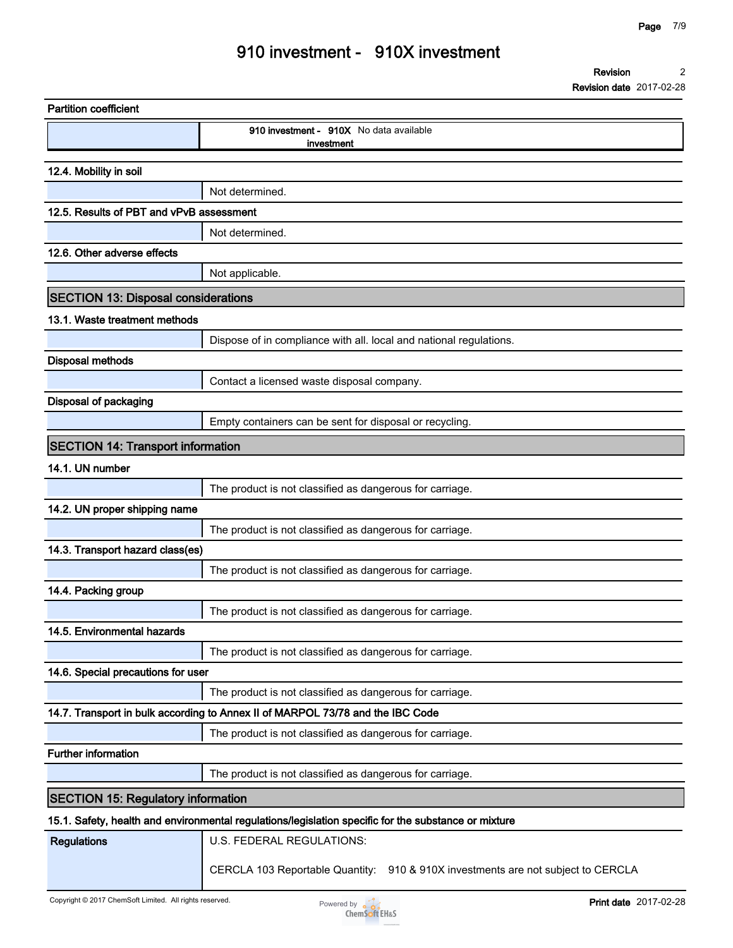**Revision date 2017-02-28**

| <b>Partition coefficient</b>               |                                                                                                      |
|--------------------------------------------|------------------------------------------------------------------------------------------------------|
|                                            | 910 investment - 910X No data available<br>investment                                                |
| 12.4. Mobility in soil                     |                                                                                                      |
|                                            | Not determined.                                                                                      |
| 12.5. Results of PBT and vPvB assessment   |                                                                                                      |
|                                            | Not determined.                                                                                      |
| 12.6. Other adverse effects                |                                                                                                      |
|                                            | Not applicable.                                                                                      |
| <b>SECTION 13: Disposal considerations</b> |                                                                                                      |
| 13.1. Waste treatment methods              |                                                                                                      |
|                                            | Dispose of in compliance with all. local and national regulations.                                   |
| <b>Disposal methods</b>                    |                                                                                                      |
|                                            | Contact a licensed waste disposal company.                                                           |
| <b>Disposal of packaging</b>               |                                                                                                      |
|                                            | Empty containers can be sent for disposal or recycling.                                              |
| <b>SECTION 14: Transport information</b>   |                                                                                                      |
| 14.1. UN number                            |                                                                                                      |
|                                            | The product is not classified as dangerous for carriage.                                             |
| 14.2. UN proper shipping name              |                                                                                                      |
|                                            | The product is not classified as dangerous for carriage.                                             |
| 14.3. Transport hazard class(es)           |                                                                                                      |
|                                            | The product is not classified as dangerous for carriage.                                             |
| 14.4. Packing group                        |                                                                                                      |
|                                            | The product is not classified as dangerous for carriage.                                             |
| 14.5. Environmental hazards                |                                                                                                      |
|                                            | The product is not classified as dangerous for carriage.                                             |
| 14.6. Special precautions for user         |                                                                                                      |
|                                            | The product is not classified as dangerous for carriage.                                             |
|                                            | 14.7. Transport in bulk according to Annex II of MARPOL 73/78 and the IBC Code                       |
|                                            | The product is not classified as dangerous for carriage.                                             |
| <b>Further information</b>                 |                                                                                                      |
|                                            | The product is not classified as dangerous for carriage.                                             |
| <b>SECTION 15: Regulatory information</b>  |                                                                                                      |
|                                            | 15.1. Safety, health and environmental regulations/legislation specific for the substance or mixture |
| <b>Regulations</b>                         | U.S. FEDERAL REGULATIONS:                                                                            |
|                                            | CERCLA 103 Reportable Quantity: 910 & 910X investments are not subject to CERCLA                     |

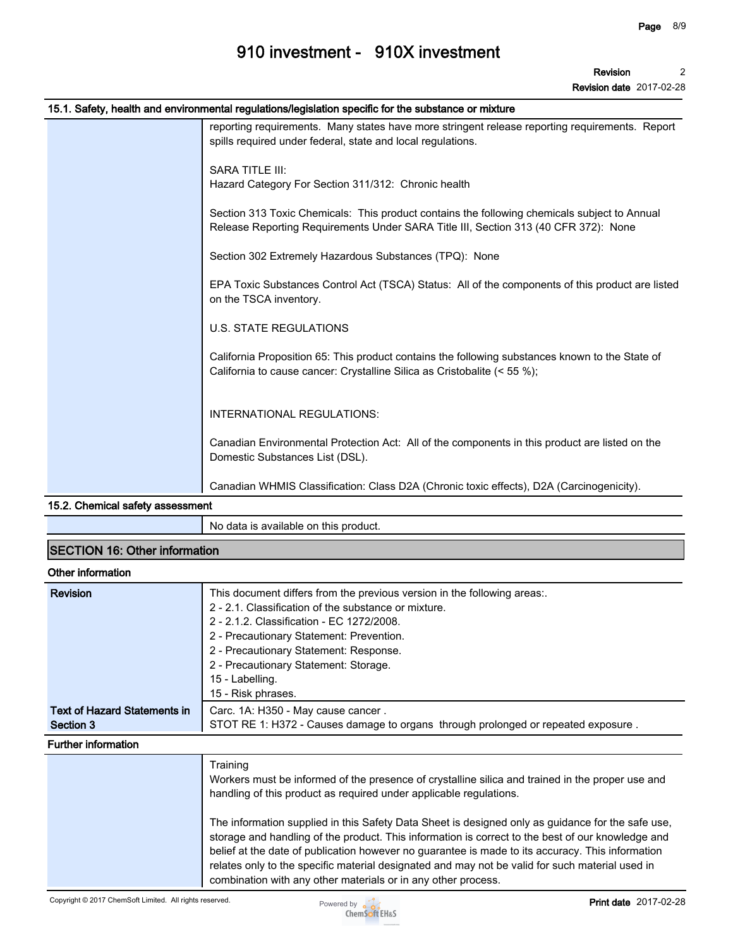**Revision date 2017-02-28**

| 15.1. Safety, health and environmental regulations/legislation specific for the substance or mixture                                                                                |
|-------------------------------------------------------------------------------------------------------------------------------------------------------------------------------------|
| reporting requirements. Many states have more stringent release reporting requirements. Report<br>spills required under federal, state and local regulations.                       |
| <b>SARA TITLE III:</b><br>Hazard Category For Section 311/312: Chronic health                                                                                                       |
| Section 313 Toxic Chemicals: This product contains the following chemicals subject to Annual<br>Release Reporting Requirements Under SARA Title III, Section 313 (40 CFR 372): None |
| Section 302 Extremely Hazardous Substances (TPQ): None                                                                                                                              |
| EPA Toxic Substances Control Act (TSCA) Status: All of the components of this product are listed<br>on the TSCA inventory.                                                          |
| <b>U.S. STATE REGULATIONS</b>                                                                                                                                                       |
| California Proposition 65: This product contains the following substances known to the State of<br>California to cause cancer: Crystalline Silica as Cristobalite (< 55 %);         |
| INTERNATIONAL REGULATIONS:                                                                                                                                                          |
| Canadian Environmental Protection Act: All of the components in this product are listed on the<br>Domestic Substances List (DSL).                                                   |
| Canadian WHMIS Classification: Class D2A (Chronic toxic effects), D2A (Carcinogenicity).                                                                                            |

#### **15.2. Chemical safety assessment**

**No data is available on this product.**

### **SECTION 16: Other information**

### **Other information**

| <b>Revision</b>              | This document differs from the previous version in the following areas:                           |
|------------------------------|---------------------------------------------------------------------------------------------------|
|                              | 2 - 2.1. Classification of the substance or mixture.                                              |
|                              | 2 - 2.1.2. Classification - EC 1272/2008.                                                         |
|                              | 2 - Precautionary Statement: Prevention.                                                          |
|                              | 2 - Precautionary Statement: Response.                                                            |
|                              | 2 - Precautionary Statement: Storage.                                                             |
|                              | 15 - Labelling.                                                                                   |
|                              | 15 - Risk phrases.                                                                                |
| Text of Hazard Statements in | Carc. 1A: H350 - May cause cancer.                                                                |
| Section 3                    | STOT RE 1: H372 - Causes damage to organs through prolonged or repeated exposure.                 |
| <b>Further information</b>   |                                                                                                   |
|                              | Training                                                                                          |
|                              | Workers must be informed of the presence of crystalline silica and trained in the proper use and  |
|                              | handling of this product as required under applicable regulations.                                |
|                              | The information supplied in this Safety Data Sheet is designed only as guidance for the safe use, |
|                              | storage and handling of the product. This information is correct to the best of our knowledge and |
|                              | belief at the date of publication however no guarantee is made to its accuracy. This information  |
|                              | relates only to the specific material designated and may not be valid for such material used in   |



**combination with any other materials or in any other process.**